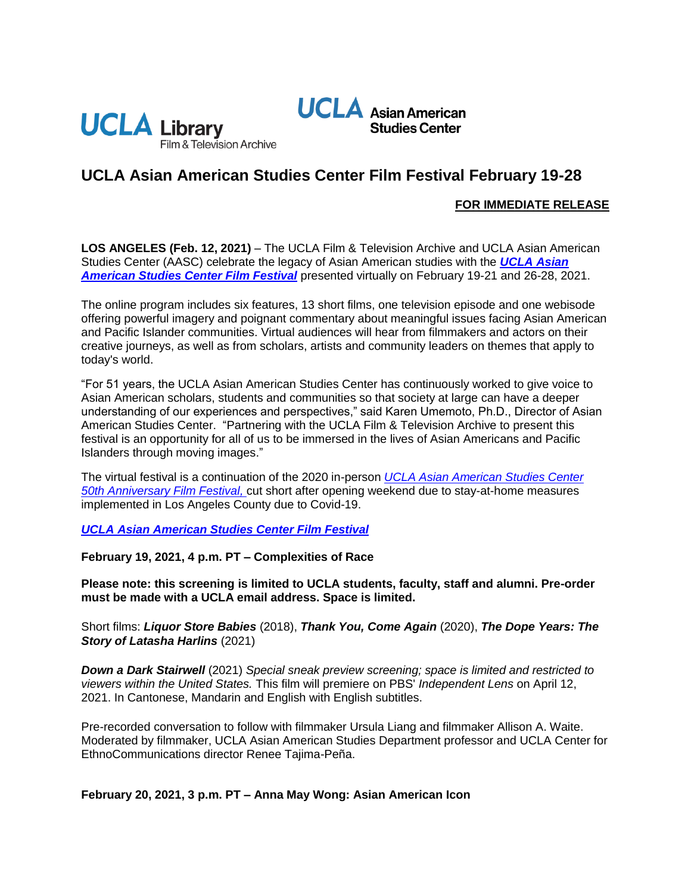



# **UCLA Asian American Studies Center Film Festival February 19-28**

## **FOR IMMEDIATE RELEASE**

**LOS ANGELES (Feb. 12, 2021)** – The UCLA Film & Television Archive and UCLA Asian American Studies Center (AASC) celebrate the legacy of Asian American studies with the *[UCLA Asian](https://www.cinema.ucla.edu/events/2021/ucla-asian-american-studies-center-film-festival)  [American Studies Center Film Festival](https://www.cinema.ucla.edu/events/2021/ucla-asian-american-studies-center-film-festival)* presented virtually on February 19-21 and 26-28, 2021.

The online program includes six features, 13 short films, one television episode and one webisode offering powerful imagery and poignant commentary about meaningful issues facing Asian American and Pacific Islander communities. Virtual audiences will hear from filmmakers and actors on their creative journeys, as well as from scholars, artists and community leaders on themes that apply to today's world.

"For 51 years, the UCLA Asian American Studies Center has continuously worked to give voice to Asian American scholars, students and communities so that society at large can have a deeper understanding of our experiences and perspectives," said Karen Umemoto, Ph.D., Director of Asian American Studies Center. "Partnering with the UCLA Film & Television Archive to present this festival is an opportunity for all of us to be immersed in the lives of Asian Americans and Pacific Islanders through moving images."

The virtual festival is a continuation of the 2020 in-person *[UCLA Asian American Studies Center](https://www.cinema.ucla.edu/events/2020/image-movers-ucla-asian-american-studies-center)  [50th Anniversary Film Festival,](https://www.cinema.ucla.edu/events/2020/image-movers-ucla-asian-american-studies-center)* cut short after opening weekend due to stay-at-home measures implemented in Los Angeles County due to Covid-19.

*[UCLA Asian American Studies Center Film Festival](https://www.cinema.ucla.edu/events/2021/ucla-asian-american-studies-center-film-festival)*

**February 19, 2021, 4 p.m. PT – Complexities of Race**

**Please note: this screening is limited to UCLA students, faculty, staff and alumni. Pre-order must be made with a UCLA email address. Space is limited.**

Short films: *Liquor Store Babies* (2018), *Thank You, Come Again* (2020), *The Dope Years: The Story of Latasha Harlins* (2021)

*Down a Dark Stairwell* (2021) *Special sneak preview screening; space is limited and restricted to viewers within the United States.* This film will premiere on PBS' *Independent Lens* on April 12, 2021. In Cantonese, Mandarin and English with English subtitles.

Pre-recorded conversation to follow with filmmaker Ursula Liang and filmmaker Allison A. Waite. Moderated by filmmaker, UCLA Asian American Studies Department professor and UCLA Center for EthnoCommunications director Renee Tajima-Peña.

## **February 20, 2021, 3 p.m. PT – Anna May Wong: Asian American Icon**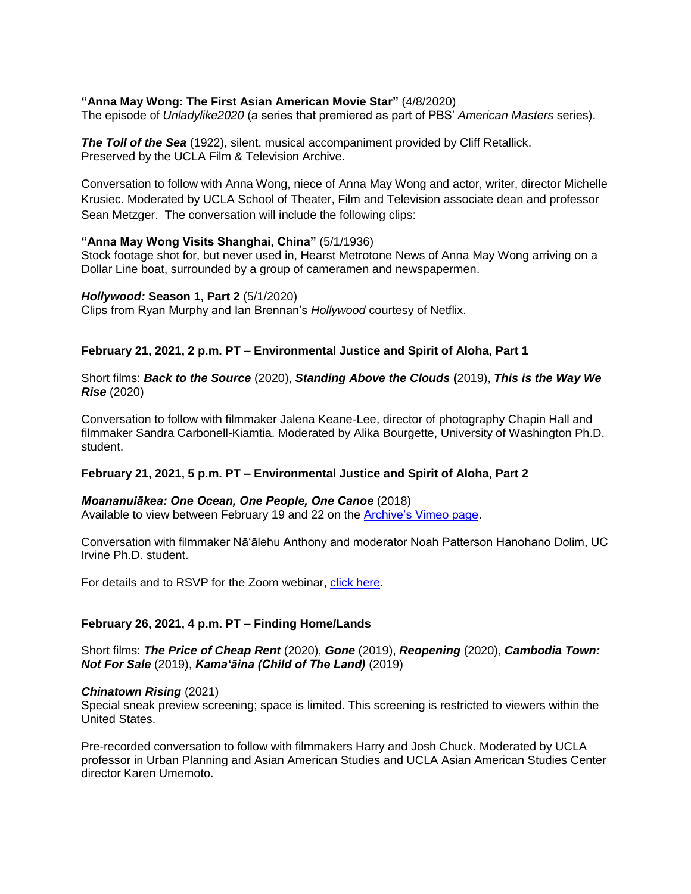## **"Anna May Wong: The First Asian American Movie Star"** (4/8/2020)

The episode of *Unladylike2020* (a series that premiered as part of PBS' *American Masters* series).

**The Toll of the Sea** (1922), silent, musical accompaniment provided by Cliff Retallick. Preserved by the UCLA Film & Television Archive.

Conversation to follow with Anna Wong, niece of Anna May Wong and actor, writer, director Michelle Krusiec. Moderated by UCLA School of Theater, Film and Television associate dean and professor Sean Metzger. The conversation will include the following clips:

#### **"Anna May Wong Visits Shanghai, China"** (5/1/1936)

Stock footage shot for, but never used in, Hearst Metrotone News of Anna May Wong arriving on a Dollar Line boat, surrounded by a group of cameramen and newspapermen.

#### *Hollywood:* **Season 1, Part 2** (5/1/2020)

Clips from Ryan Murphy and Ian Brennan's *Hollywood* courtesy of Netflix.

#### **February 21, 2021, 2 p.m. PT – Environmental Justice and Spirit of Aloha, Part 1**

Short films: *Back to the Source* (2020), *Standing Above the Clouds* **(**2019), *This is the Way We Rise* (2020)

Conversation to follow with filmmaker Jalena Keane-Lee, director of photography Chapin Hall and filmmaker Sandra Carbonell-Kiamtia. Moderated by Alika Bourgette, University of Washington Ph.D. student.

#### **February 21, 2021, 5 p.m. PT – Environmental Justice and Spirit of Aloha, Part 2**

#### *Moananuiākea: One Ocean, One People, One Canoe* (2018)

Available to view between February 19 and 22 on the [Archive's Vimeo page.](http://vimeo.com/UCLAFilmTVArchive)

Conversation with filmmaker Nāʻālehu Anthony and moderator Noah Patterson Hanohano Dolim, UC Irvine Ph.D. student.

For details and to RSVP for the Zoom webinar, [click here.](https://ucla.zoom.us/webinar/register/WN_-pjk_XMMR1m635h-rcymcA)

#### **February 26, 2021, 4 p.m. PT – Finding Home/Lands**

Short films: *The Price of Cheap Rent* (2020), *Gone* (2019), *Reopening* (2020), *Cambodia Town: Not For Sale* (2019), *Kamaʻāina (Child of The Land)* (2019)

#### *Chinatown Rising* (2021)

Special sneak preview screening; space is limited. This screening is restricted to viewers within the United States.

Pre-recorded conversation to follow with filmmakers Harry and Josh Chuck. Moderated by UCLA professor in Urban Planning and Asian American Studies and UCLA Asian American Studies Center director Karen Umemoto.